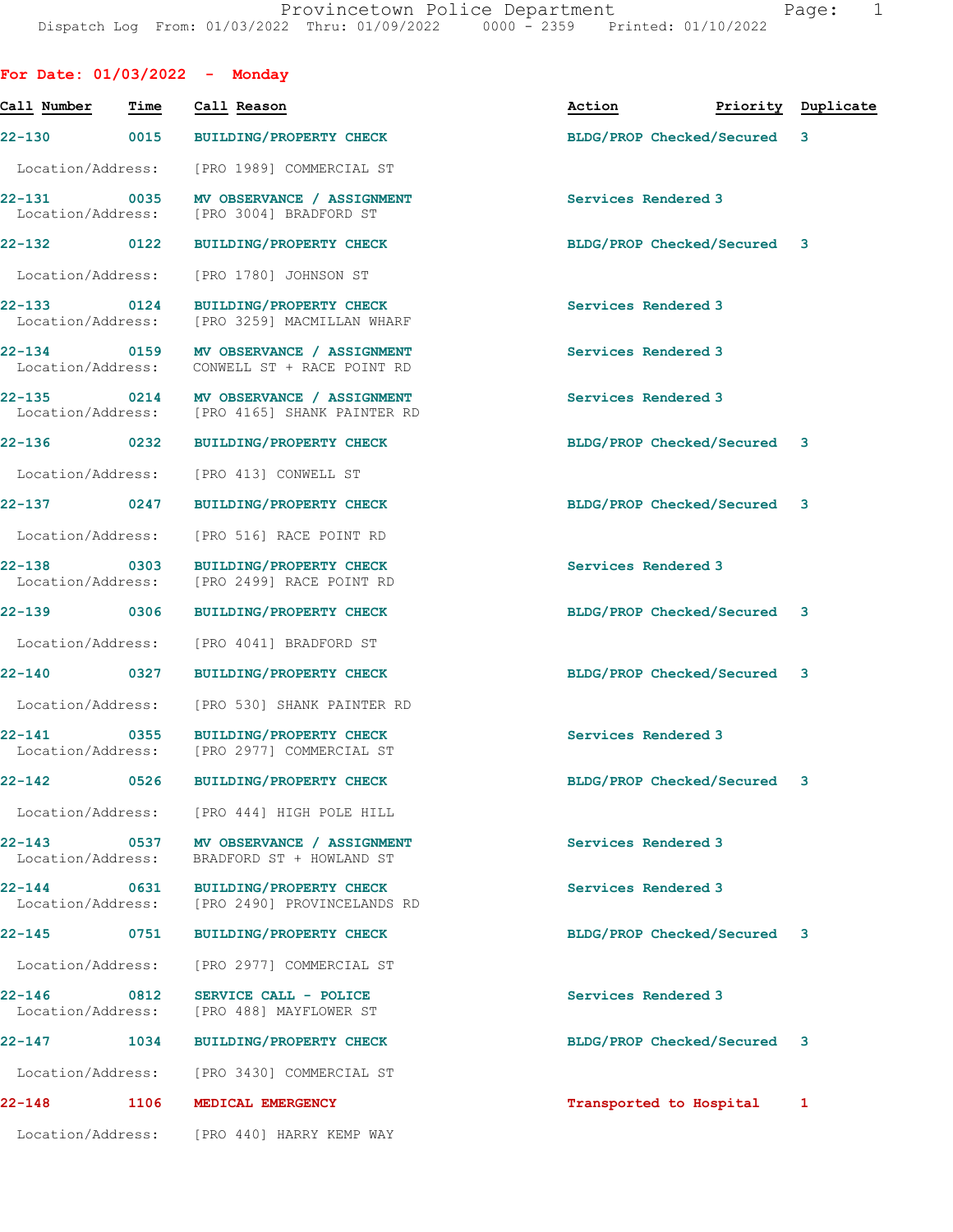|                                     |                     | For Date: $01/03/2022 -$ Monday                                                    |                             |                    |
|-------------------------------------|---------------------|------------------------------------------------------------------------------------|-----------------------------|--------------------|
| Call Number                         | Time                | Call Reason                                                                        | Action                      | Priority Duplicate |
|                                     |                     | 22-130 0015 BUILDING/PROPERTY CHECK                                                | BLDG/PROP Checked/Secured 3 |                    |
| Location/Address:                   |                     | [PRO 1989] COMMERCIAL ST                                                           |                             |                    |
|                                     |                     | 22-131 0035 MV OBSERVANCE / ASSIGNMENT<br>Location/Address: [PRO 3004] BRADFORD ST | Services Rendered 3         |                    |
| 22-132 0122                         |                     | <b>BUILDING/PROPERTY CHECK</b>                                                     | BLDG/PROP Checked/Secured 3 |                    |
| Location/Address:                   |                     | [PRO 1780] JOHNSON ST                                                              |                             |                    |
| 22-133 0124<br>Location/Address:    |                     | <b>BUILDING/PROPERTY CHECK</b><br>[PRO 3259] MACMILLAN WHARF                       | Services Rendered 3         |                    |
| Location/Address:                   |                     | 22-134 0159 MV OBSERVANCE / ASSIGNMENT<br>CONWELL ST + RACE POINT RD               | Services Rendered 3         |                    |
| $22 - 135$<br>Location/Address:     |                     | 0214 MV OBSERVANCE / ASSIGNMENT<br>[PRO 4165] SHANK PAINTER RD                     | Services Rendered 3         |                    |
| 22-136 0232                         |                     | <b>BUILDING/PROPERTY CHECK</b>                                                     | BLDG/PROP Checked/Secured 3 |                    |
| Location/Address:                   |                     | [PRO 413] CONWELL ST                                                               |                             |                    |
| $22 - 137$ 0247                     |                     | <b>BUILDING/PROPERTY CHECK</b>                                                     | BLDG/PROP Checked/Secured 3 |                    |
| Location/Address:                   |                     | [PRO 516] RACE POINT RD                                                            |                             |                    |
| 22-138<br>Location/Address:         | $\overline{0}$ 0303 | <b>BUILDING/PROPERTY CHECK</b><br>[PRO 2499] RACE POINT RD                         | Services Rendered 3         |                    |
| 22-139 0306                         |                     | <b>BUILDING/PROPERTY CHECK</b>                                                     | BLDG/PROP Checked/Secured 3 |                    |
| Location/Address:                   |                     | [PRO 4041] BRADFORD ST                                                             |                             |                    |
| 22-140 0327                         |                     | <b>BUILDING/PROPERTY CHECK</b>                                                     | BLDG/PROP Checked/Secured 3 |                    |
| Location/Address:                   |                     | [PRO 530] SHANK PAINTER RD                                                         |                             |                    |
| 22-141                              |                     | 0355 BUILDING/PROPERTY CHECK<br>Location/Address: [PRO 2977] COMMERCIAL ST         | Services Rendered 3         |                    |
| 22-142                              |                     | 0526 BUILDING/PROPERTY CHECK                                                       | BLDG/PROP Checked/Secured 3 |                    |
| Location/Address:                   |                     | [PRO 444] HIGH POLE HILL                                                           |                             |                    |
| 22-143<br>Location/Address:         | $\overline{0}$ 0537 | MV OBSERVANCE / ASSIGNMENT<br>BRADFORD ST + HOWLAND ST                             | Services Rendered 3         |                    |
| 22-144<br>0631<br>Location/Address: |                     | <b>BUILDING/PROPERTY CHECK</b><br>[PRO 2490] PROVINCELANDS RD                      | Services Rendered 3         |                    |
| 22-145                              | 0751                | <b>BUILDING/PROPERTY CHECK</b>                                                     | BLDG/PROP Checked/Secured 3 |                    |
| Location/Address:                   |                     | [PRO 2977] COMMERCIAL ST                                                           |                             |                    |
| $22 - 146$<br>Location/Address:     | 0812                | SERVICE CALL - POLICE<br>[PRO 488] MAYFLOWER ST                                    | Services Rendered 3         |                    |
| 22-147                              | 1034                | <b>BUILDING/PROPERTY CHECK</b>                                                     | BLDG/PROP Checked/Secured 3 |                    |
| Location/Address:                   |                     | [PRO 3430] COMMERCIAL ST                                                           |                             |                    |
| 22-148                              | 1106                | MEDICAL EMERGENCY                                                                  | Transported to Hospital     | 1                  |

Location/Address: [PRO 440] HARRY KEMP WAY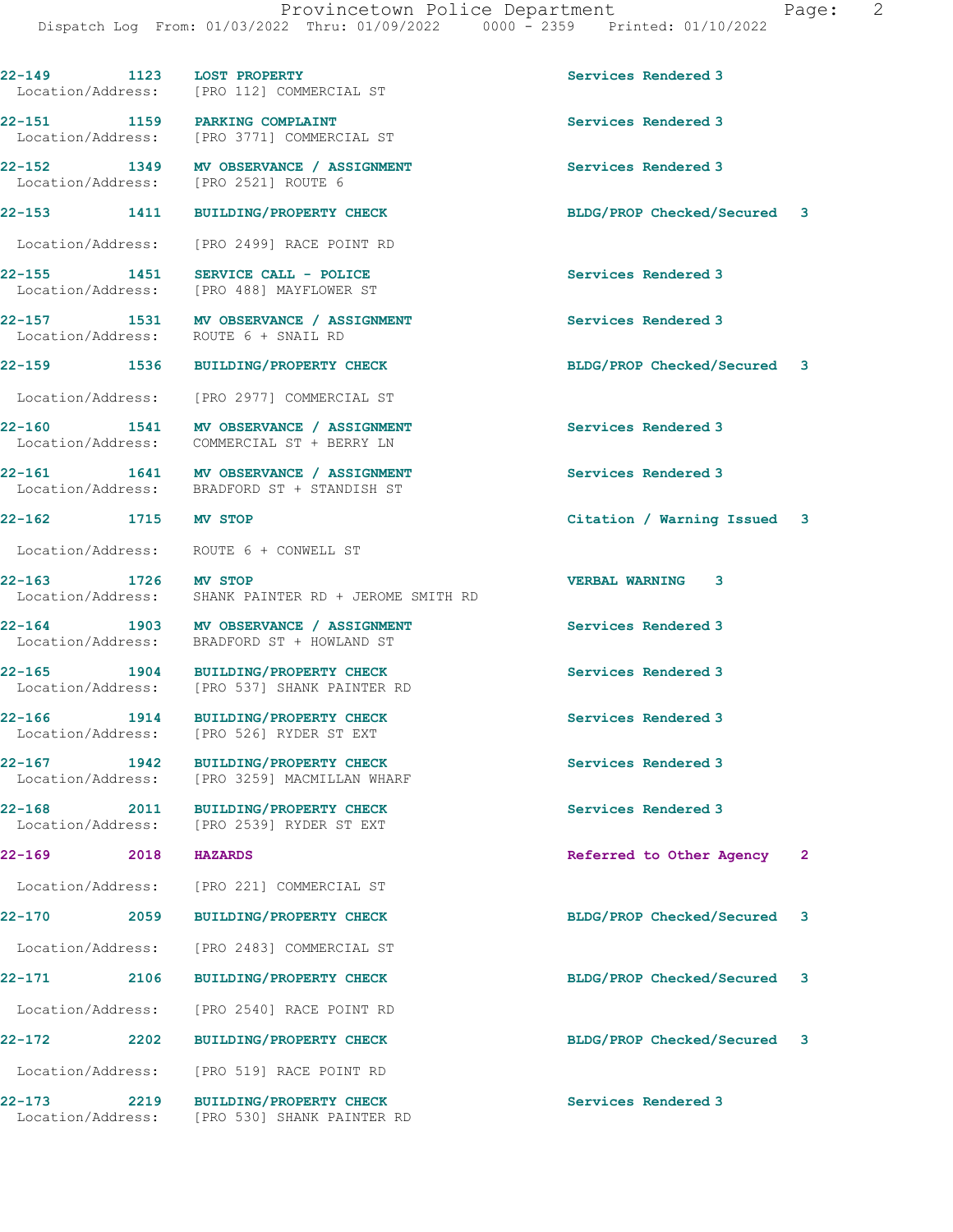22-149 1123 LOST PROPERTY Services Rendered 3 Location/Address: [PRO 112] COMMERCIAL ST

22-151 1159 PARKING COMPLAINT<br>
Location/Address: [PRO 3771] COMMERCIAL ST

22-152 1349 MV OBSERVANCE / ASSIGNMENT Services Rendered 3<br>
Location/Address: [PRO 2521] ROUTE 6 Location/Address:

Location/Address: [PRO 526] RYDER ST EXT

[PRO 3771] COMMERCIAL ST

Location/Address: [PRO 2499] RACE POINT RD

22-155 1451 SERVICE CALL - POLICE Services Rendered 3 Location/Address: [PRO 488] MAYFLOWER ST

22-157 1531 MV OBSERVANCE / ASSIGNMENT Services Rendered 3 Location/Address: ROUTE 6 + SNAIL RD

Location/Address: [PRO 2977] COMMERCIAL ST

22-160 1541 MV OBSERVANCE / ASSIGNMENT Services Rendered 3<br>
Location/Address: COMMERCIAL ST + BERRY LN COMMERCIAL ST + BERRY LN

22-161 1641 MV OBSERVANCE / ASSIGNMENT Services Rendered 3 Location/Address: BRADFORD ST + STANDISH ST

Location/Address: ROUTE 6 + CONWELL ST

22-163 1726 MV STOP VERBAL WARNING 3 Location/Address: SHANK PAINTER RD + JEROME SMITH RD

22-164 1903 MV OBSERVANCE / ASSIGNMENT Services Rendered 3 Location/Address: BRADFORD ST + HOWLAND ST

22-165 1904 BUILDING/PROPERTY CHECK Services Rendered 3<br>
Location/Address: [PRO 537] SHANK PAINTER RD [PRO 537] SHANK PAINTER RD

22-166 1914 BUILDING/PROPERTY CHECK Services Rendered 3

22-167 1942 BUILDING/PROPERTY CHECK Services Rendered 3 Location/Address: [PRO 3259] MACMILLAN WHARF

22-168 2011 BUILDING/PROPERTY CHECK Services Rendered 3 Location/Address: [PRO 2539] RYDER ST EXT

Location/Address: [PRO 221] COMMERCIAL ST

Location/Address: [PRO 2483] COMMERCIAL ST

Location/Address: [PRO 2540] RACE POINT RD

Location/Address: [PRO 519] RACE POINT RD

22-173 2219 BUILDING/PROPERTY CHECK Services Rendered 3 Location/Address: [PRO 530] SHANK PAINTER RD

22-153 1411 BUILDING/PROPERTY CHECK BLDG/PROP Checked/Secured 3

22-159 1536 BUILDING/PROPERTY CHECK BLDG/PROP Checked/Secured 3

22-162 1715 MV STOP Citation / Warning Issued 3

22-169 2018 HAZARDS 2018 2018 2018 2018 2018 2018 2018 2021

22-170 2059 BUILDING/PROPERTY CHECK BLDG/PROP Checked/Secured 3

22-171 2106 BUILDING/PROPERTY CHECK BLDG/PROP Checked/Secured 3

22-172 2202 BUILDING/PROPERTY CHECK BLDG/PROP Checked/Secured 3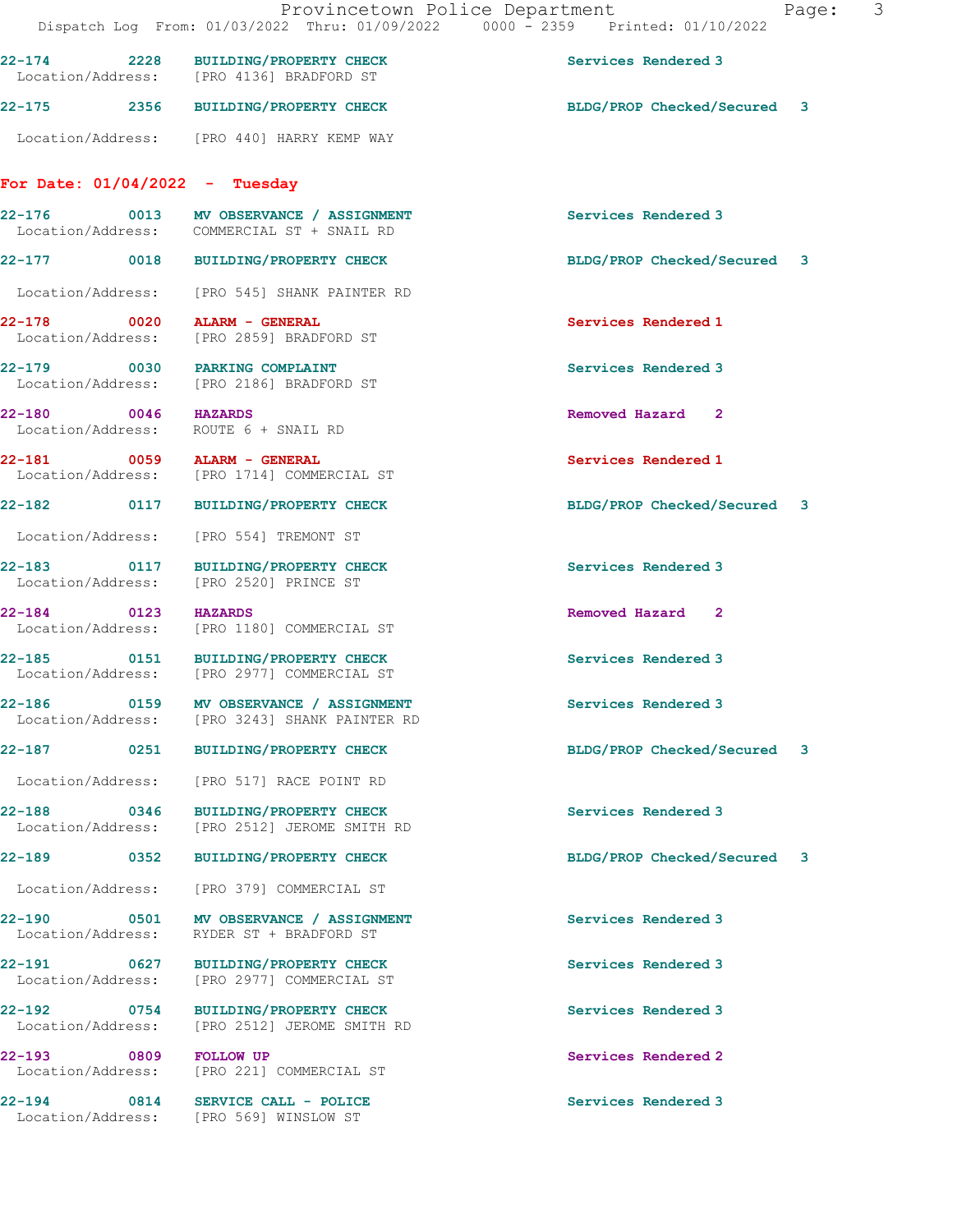## For Date: 01/04/2022 - Tuesday

| $22 - 176$        | 0013 | MV OBSERVANCE / ASSIGNMENT | Services Rendered 3 |
|-------------------|------|----------------------------|---------------------|
| Location/Address: |      | COMMERCIAL ST + SNAIL RD   |                     |
|                   |      |                            |                     |

Location/Address: [PRO 545] SHANK PAINTER RD

22-178 0020 ALARM - GENERAL Services Rendered 1 Location/Address: [PRO 2859] BRADFORD ST

22-180 0046 HAZARDS Removed Hazard 2

22-183 0117 BUILDING/PROPERTY CHECK Services Rendered 3

22-194 0814 SERVICE CALL - POLICE Services Rendered 3

22-179 0030 PARKING COMPLAINT Services Rendered 3 Location/Address: [PRO 2186] BRADFORD ST

Location/Address: ROUTE 6 + SNAIL RD

22-181 0059 ALARM - GENERAL Services Rendered 1 Location/Address: [PRO 1714] COMMERCIAL ST

Location/Address: [PRO 554] TREMONT ST

Location/Address: [PRO 2520] PRINCE ST

22-184 0123 HAZARDS<br>
Location/Address: [PRO 1180] COMMERCIAL ST<br>
Removed Hazard 2 [PRO 1180] COMMERCIAL ST

22-185 0151 BUILDING/PROPERTY CHECK Services Rendered 3<br>
Location/Address: [PRO 2977] COMMERCIAL ST [PRO 2977] COMMERCIAL ST

22-186 0159 MV OBSERVANCE / ASSIGNMENT Services Rendered 3 Location/Address: [PRO 3243] SHANK PAINTER RD

Location/Address: [PRO 517] RACE POINT RD

22-188 0346 BUILDING/PROPERTY CHECK Services Rendered 3 Location/Address: [PRO 2512] JEROME SMITH RD

Location/Address: [PRO 379] COMMERCIAL ST

22-190 0501 MV OBSERVANCE / ASSIGNMENT Services Rendered 3 Location/Address: RYDER ST + BRADFORD ST

22-191 0627 BUILDING/PROPERTY CHECK Services Rendered 3 Location/Address: [PRO 2977] COMMERCIAL ST

22-192 0754 BUILDING/PROPERTY CHECK Services Rendered 3 Location/Address: [PRO 2512] JEROME SMITH RD

22-193 0809 FOLLOW UP COMMERCIAL ST CONSTRUCTED Services Rendered 2<br>
Services Rendered 2<br>
Services Rendered 2 [PRO 221] COMMERCIAL ST

Location/Address: [PRO 569] WINSLOW ST

22-177 0018 BUILDING/PROPERTY CHECK BLDG/PROP Checked/Secured 3

22-182 0117 BUILDING/PROPERTY CHECK BLDG/PROP Checked/Secured 3

22-187 0251 BUILDING/PROPERTY CHECK BLDG/PROP Checked/Secured 3

22-189 0352 BUILDING/PROPERTY CHECK BLDG/PROP Checked/Secured 3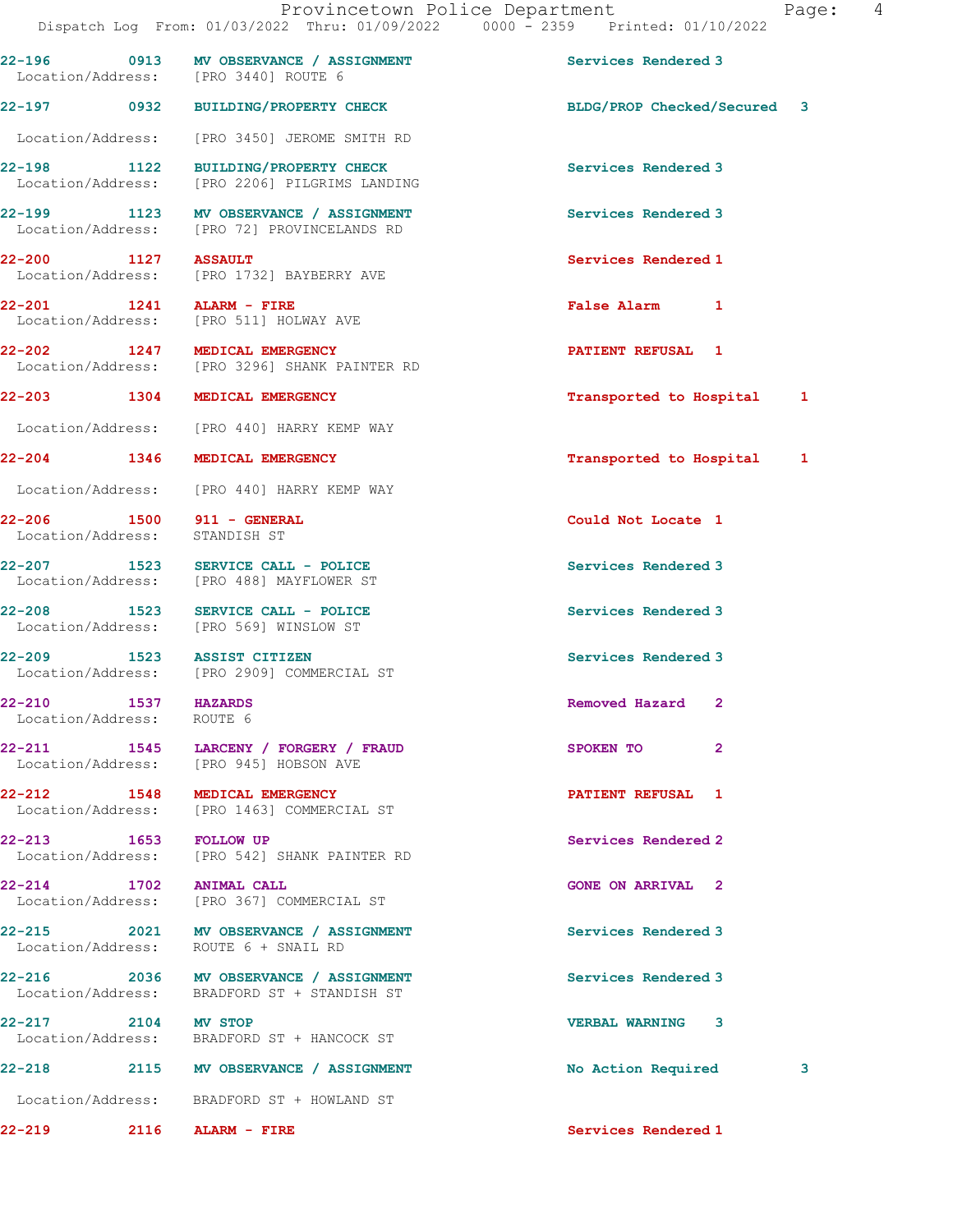22-196 0913 MV OBSERVANCE / ASSIGNMENT Services Rendered 3 Location/Address: [PRO 3440] ROUTE 6 22-197 0932 BUILDING/PROPERTY CHECK BLDG/PROP Checked/Secured 3 Location/Address: [PRO 3450] JEROME SMITH RD 22-198 1122 BUILDING/PROPERTY CHECK Services Rendered 3 Location/Address: [PRO 2206] PILGRIMS LANDING 22-199 1123 MV OBSERVANCE / ASSIGNMENT Services Rendered 3 Location/Address: [PRO 72] PROVINCELANDS RD 22-200 1127 ASSAULT Services Rendered 1 Location/Address: [PRO 1732] BAYBERRY AVE 22-201 1241 ALARM - FIRE False Alarm 1 Location/Address: [PRO 511] HOLWAY AVE 22-202 1247 MEDICAL EMERGENCY PATIENT REFUSAL 1 [PRO 3296] SHANK PAINTER RD 22-203 1304 MEDICAL EMERGENCY 1 22-203 Transported to Hospital 1 Location/Address: [PRO 440] HARRY KEMP WAY 22-204 1346 MEDICAL EMERGENCY Transported to Hospital 1 Location/Address: [PRO 440] HARRY KEMP WAY 22-206 1500 911 - GENERAL Could Not Locate 1 Location/Address: STANDISH ST 22-207 1523 SERVICE CALL - POLICE Services Rendered 3 Location/Address: [PRO 488] MAYFLOWER ST 22-208 1523 SERVICE CALL - POLICE Services Rendered 3 Location/Address: [PRO 569] WINSLOW ST 22-209 1523 ASSIST CITIZEN Services Rendered 3 Location/Address: [PRO 2909] COMMERCIAL ST 22-210 1537 HAZARDS Removed Hazard 2 Location/Address: ROUTE 6 22-211 1545 LARCENY / FORGERY / FRAUD SPOKEN TO 2 Location/Address: [PRO 945] HOBSON AVE 22-212 1548 MEDICAL EMERGENCY PATIENT REFUSAL 1 Location/Address: [PRO 1463] COMMERCIAL ST 22-213 1653 FOLLOW UP Services Rendered 2 Location/Address: [PRO 542] SHANK PAINTER RD 22-214 1702 ANIMAL CALL 2 (CONE ON ARRIVAL 2 Location/Address: [PRO 367] COMMERCIAL ST [PRO 367] COMMERCIAL ST 22-215 2021 MV OBSERVANCE / ASSIGNMENT Services Rendered 3 Location/Address: ROUTE 6 + SNAIL RD 22-216 2036 MV OBSERVANCE / ASSIGNMENT Services Rendered 3

Location/Address: BRADFORD ST + STANDISH ST

22-217 2104 MV STOP VERBAL WARNING 3 Location/Address: BRADFORD ST + HANCOCK ST

22-218 2115 MV OBSERVANCE / ASSIGNMENT No Action Required 3

Location/Address: BRADFORD ST + HOWLAND ST

22-219 2116 ALARM - FIRE Services Rendered 1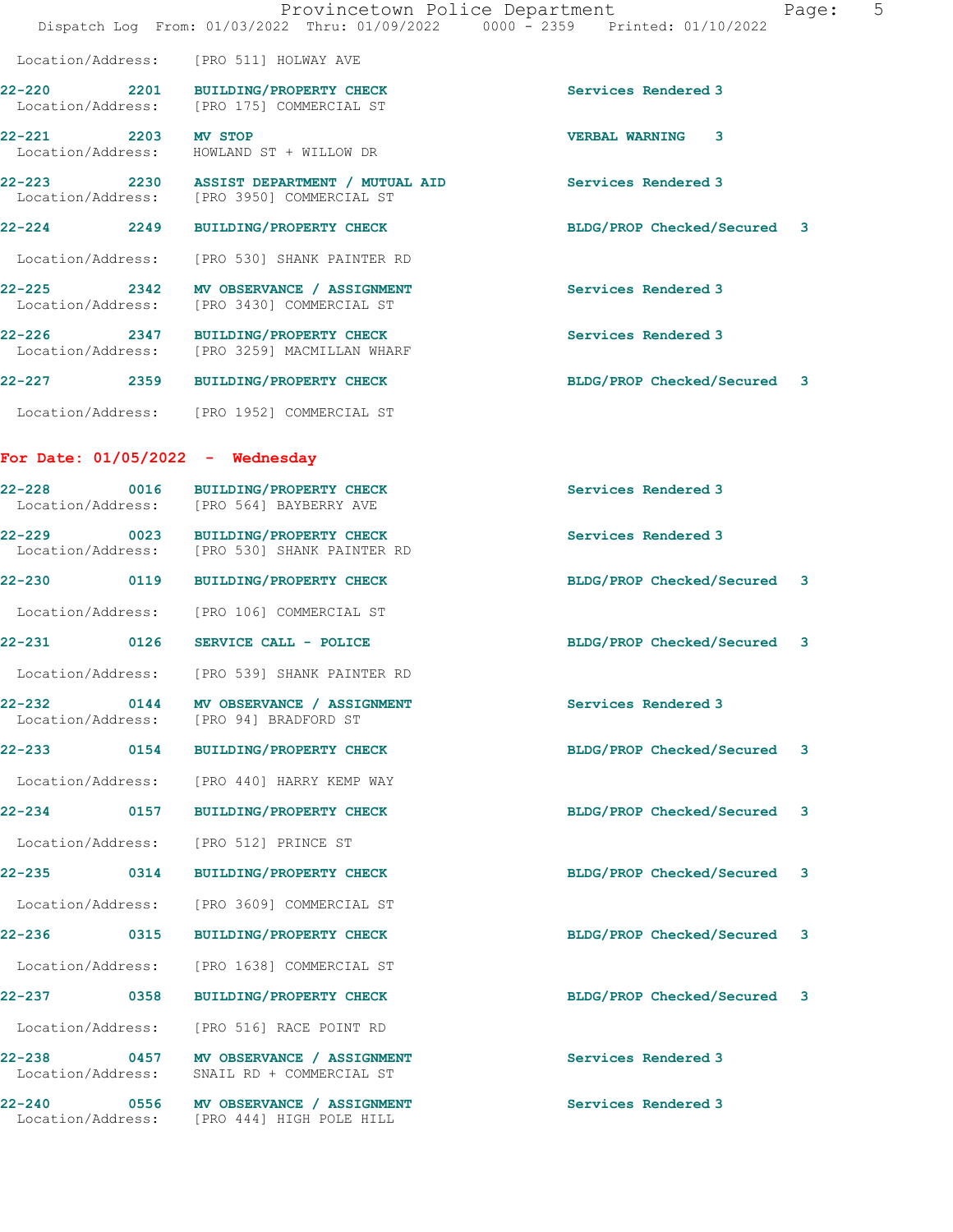|                    |                                                                                   | 5<br>Provincetown Police Department<br>Page:<br>Dispatch Log From: 01/03/2022 Thru: 01/09/2022 0000 - 2359 Printed: 01/10/2022 |
|--------------------|-----------------------------------------------------------------------------------|--------------------------------------------------------------------------------------------------------------------------------|
|                    | Location/Address: [PRO 511] HOLWAY AVE                                            |                                                                                                                                |
| $22 - 220$         | 2201 BUILDING/PROPERTY CHECK<br>Location/Address: [PRO 175] COMMERCIAL ST         | Services Rendered 3                                                                                                            |
| 2203<br>$22 - 221$ | <b>MV STOP</b><br>Location/Address: HOWLAND ST + WILLOW DR                        | $\mathbf{3}$<br><b>VERBAL WARNING</b>                                                                                          |
| $22 - 223$         | 2230 ASSIST DEPARTMENT / MUTUAL AID<br>Location/Address: [PRO 3950] COMMERCIAL ST | Services Rendered 3                                                                                                            |
| 2249<br>$22 - 224$ | <b>BUILDING/PROPERTY CHECK</b>                                                    | BLDG/PROP Checked/Secured 3                                                                                                    |
|                    | Location/Address: [PRO 530] SHANK PAINTER RD                                      |                                                                                                                                |
| 22-225 2342        | MV OBSERVANCE / ASSIGNMENT<br>Location/Address: [PRO 3430] COMMERCIAL ST          | Services Rendered 3                                                                                                            |
| $22 - 226$         | 2347 BUILDING/PROPERTY CHECK<br>Location/Address: [PRO 3259] MACMILLAN WHARF      | Services Rendered 3                                                                                                            |
| 2359<br>$22 - 227$ | <b>BUILDING/PROPERTY CHECK</b>                                                    | BLDG/PROP Checked/Secured 3                                                                                                    |
|                    | Location/Address: [PRO 1952] COMMERCIAL ST                                        |                                                                                                                                |

For Date: 01/05/2022 - Wednesday

| 22-228 0016 | <b>BUILDING/PROPERTY CHECK</b><br>Location/Address: [PRO 564] BAYBERRY AVE           | Services Rendered 3         |
|-------------|--------------------------------------------------------------------------------------|-----------------------------|
|             | 22-229 0023 BUILDING/PROPERTY CHECK<br>Location/Address: [PRO 530] SHANK PAINTER RD  | Services Rendered 3         |
|             | 22-230 0119 BUILDING/PROPERTY CHECK                                                  | BLDG/PROP Checked/Secured 3 |
|             | Location/Address: [PRO 106] COMMERCIAL ST                                            |                             |
| 22-231 0126 | SERVICE CALL - POLICE                                                                | BLDG/PROP Checked/Secured 3 |
|             | Location/Address: [PRO 539] SHANK PAINTER RD                                         |                             |
|             | 22-232 0144 MV OBSERVANCE / ASSIGNMENT<br>Location/Address: [PRO 94] BRADFORD ST     | Services Rendered 3         |
|             | 22-233 0154 BUILDING/PROPERTY CHECK                                                  | BLDG/PROP Checked/Secured 3 |
|             | Location/Address: [PRO 440] HARRY KEMP WAY                                           |                             |
| 22-234 0157 | <b>BUILDING/PROPERTY CHECK</b>                                                       | BLDG/PROP Checked/Secured 3 |
|             | Location/Address: [PRO 512] PRINCE ST                                                |                             |
|             | 22-235 0314 BUILDING/PROPERTY CHECK                                                  | BLDG/PROP Checked/Secured 3 |
|             | Location/Address: [PRO 3609] COMMERCIAL ST                                           |                             |
| 22-236 0315 | <b>BUILDING/PROPERTY CHECK</b>                                                       | BLDG/PROP Checked/Secured 3 |
|             | Location/Address: [PRO 1638] COMMERCIAL ST                                           |                             |
|             | 22-237 0358 BUILDING/PROPERTY CHECK                                                  | BLDG/PROP Checked/Secured 3 |
|             | Location/Address: [PRO 516] RACE POINT RD                                            |                             |
| $22 - 238$  | 0457 MV OBSERVANCE / ASSIGNMENT<br>Location/Address: SNAIL RD + COMMERCIAL ST        | Services Rendered 3         |
|             | 22-240 0556 MV OBSERVANCE / ASSIGNMENT<br>Location/Address: [PRO 444] HIGH POLE HILL | Services Rendered 3         |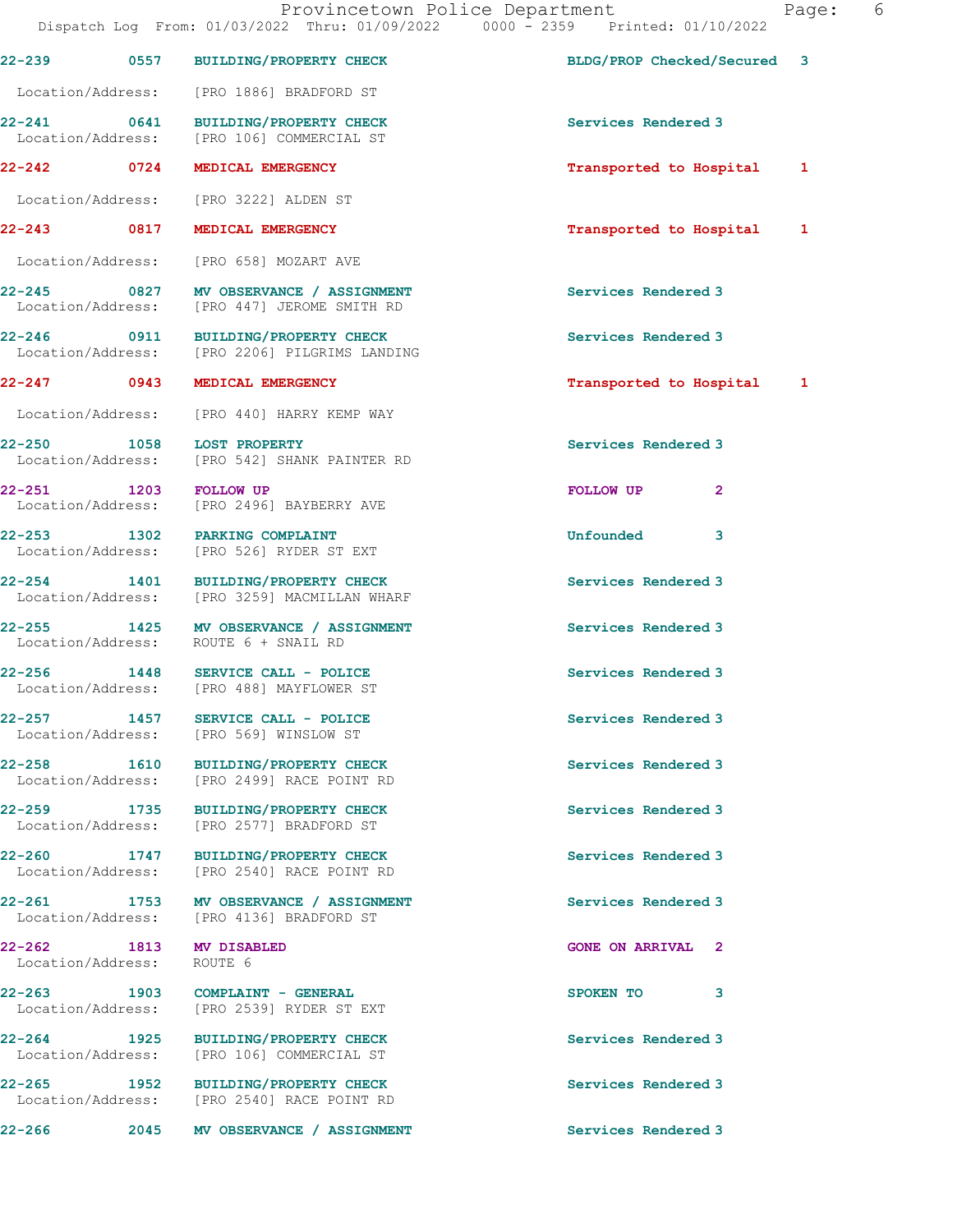Dispatch Log From: 01/03/2022 Thru: 01/09/2022 0000 - 2359 Printed: 01/10/2022 22-239 0557 BUILDING/PROPERTY CHECK BLDG/PROP Checked/Secured 3 Location/Address: [PRO 1886] BRADFORD ST 22-241 0641 BUILDING/PROPERTY CHECK Services Rendered 3 Location/Address: [PRO 106] COMMERCIAL ST 22-242 0724 MEDICAL EMERGENCY **120 CONTACT 1** Transported to Hospital 1 Location/Address: [PRO 3222] ALDEN ST 22-243 0817 MEDICAL EMERGENCY **120 CONTACT 1** Transported to Hospital 1 Location/Address: [PRO 658] MOZART AVE 22-245 0827 MV OBSERVANCE / ASSIGNMENT Services Rendered 3 Location/Address: [PRO 447] JEROME SMITH RD 22-246 0911 BUILDING/PROPERTY CHECK Services Rendered 3 Location/Address: [PRO 2206] PILGRIMS LANDING 22-247 0943 MEDICAL EMERGENCY Transported to Hospital 1 Location/Address: [PRO 440] HARRY KEMP WAY 22-250 1058 LOST PROPERTY<br>
Location/Address: [PRO 542] SHANK PAINTER RD<br>
Services Rendered 3 [PRO 542] SHANK PAINTER RD 22-251 1203 FOLLOW UP **FOLLOW UP** 2<br>
Location/Address: [PRO 2496] BAYBERRY AVE [PRO 2496] BAYBERRY AVE 22-253 1302 PARKING COMPLAINT Unfounded 3 Location/Address: [PRO 526] RYDER ST EXT 22-254 1401 BUILDING/PROPERTY CHECK Services Rendered 3 Location/Address: [PRO 3259] MACMILLAN WHARF 22-255 1425 MV OBSERVANCE / ASSIGNMENT Services Rendered 3 Location/Address: ROUTE 6 + SNAIL RD 22-256 1448 SERVICE CALL - POLICE Services Rendered 3 Location/Address: [PRO 488] MAYFLOWER ST 22-257 1457 SERVICE CALL - POLICE Services Rendered 3 Location/Address: [PRO 569] WINSLOW ST 22-258 1610 BUILDING/PROPERTY CHECK Services Rendered 3 Location/Address: [PRO 2499] RACE POINT RD 22-259 1735 BUILDING/PROPERTY CHECK Services Rendered 3<br>
Location/Address: [PRO 2577] BRADFORD ST [PRO 2577] BRADFORD ST 22-260 1747 BUILDING/PROPERTY CHECK Services Rendered 3 Location/Address: [PRO 2540] RACE POINT RD 22-261 1753 MV OBSERVANCE / ASSIGNMENT Services Rendered 3<br>
Location/Address: [PRO 4136] BRADFORD ST [PRO 4136] BRADFORD ST 22-262 1813 MV DISABLED GONE ON ARRIVAL 2 Location/Address: ROUTE 6 22-263 1903 COMPLAINT - GENERAL SPOKEN TO 3 Location/Address: [PRO 2539] RYDER ST EXT 22-264 1925 BUILDING/PROPERTY CHECK Services Rendered 3 Location/Address: [PRO 106] COMMERCIAL ST 22-265 1952 BUILDING/PROPERTY CHECK Services Rendered 3 Location/Address: [PRO 2540] RACE POINT RD 22-266 2045 MV OBSERVANCE / ASSIGNMENT Services Rendered 3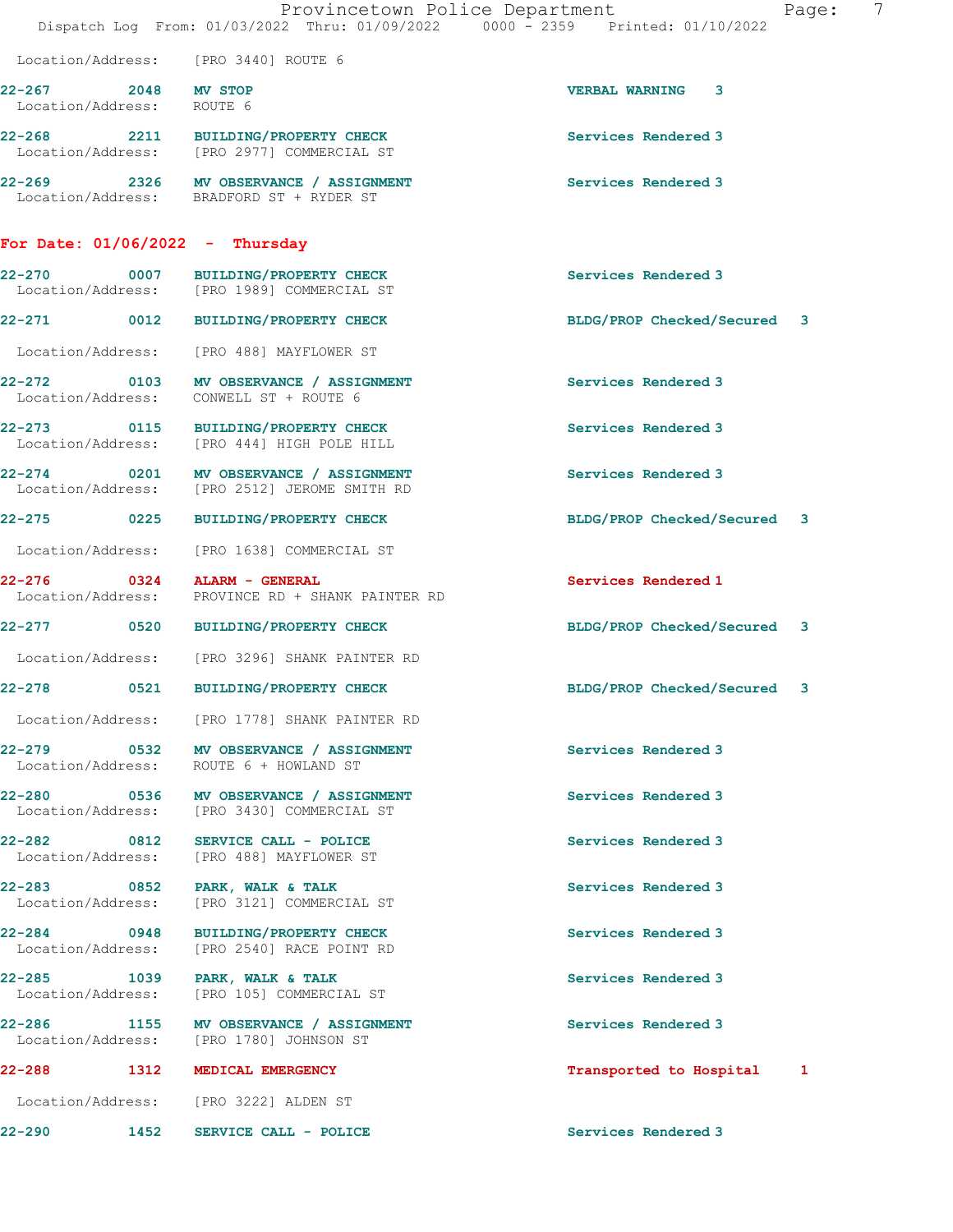|                                     |      | Provincetown Police Department<br>Dispatch Log From: 01/03/2022 Thru: 01/09/2022 0000 - 2359 Printed: 01/10/2022 |                             | 7<br>Page: |
|-------------------------------------|------|------------------------------------------------------------------------------------------------------------------|-----------------------------|------------|
|                                     |      | Location/Address: [PRO 3440] ROUTE 6                                                                             |                             |            |
| 22-267<br>Location/Address: ROUTE 6 | 2048 | <b>MV STOP</b>                                                                                                   | <b>VERBAL WARNING 3</b>     |            |
|                                     |      | 22-268 2211 BUILDING/PROPERTY CHECK<br>Location/Address: [PRO 2977] COMMERCIAL ST                                | Services Rendered 3         |            |
|                                     |      | 22-269 2326 MV OBSERVANCE / ASSIGNMENT<br>Location/Address: BRADFORD ST + RYDER ST                               | Services Rendered 3         |            |
| For Date: $01/06/2022 - Thursday$   |      |                                                                                                                  |                             |            |
| $\sim$ 0007<br>22-270               |      | BUILDING/PROPERTY CHECK<br>Location/Address: [PRO 1989] COMMERCIAL ST                                            | Services Rendered 3         |            |
| 22-271 0012                         |      | <b>BUILDING/PROPERTY CHECK</b>                                                                                   | BLDG/PROP Checked/Secured 3 |            |
|                                     |      | Location/Address: [PRO 488] MAYFLOWER ST                                                                         |                             |            |
| Location/Address:                   |      | 22-272 0103 MV OBSERVANCE / ASSIGNMENT<br>CONWELL ST + ROUTE 6                                                   | Services Rendered 3         |            |
|                                     |      | 22-273 0115 BUILDING/PROPERTY CHECK<br>Location/Address: [PRO 444] HIGH POLE HILL                                | Services Rendered 3         |            |
| Location/Address:                   |      | 22-274 0201 MV OBSERVANCE / ASSIGNMENT<br>[PRO 2512] JEROME SMITH RD                                             | Services Rendered 3         |            |
| 22-275 0225                         |      | <b>BUILDING/PROPERTY CHECK</b>                                                                                   | BLDG/PROP Checked/Secured 3 |            |
|                                     |      | Location/Address: [PRO 1638] COMMERCIAL ST                                                                       |                             |            |
|                                     |      | 22-276 0324 ALARM - GENERAL<br>Location/Address: PROVINCE RD + SHANK PAINTER RD                                  | Services Rendered 1         |            |
|                                     |      | 22-277 0520 BUILDING/PROPERTY CHECK                                                                              | BLDG/PROP Checked/Secured 3 |            |
|                                     |      | Location/Address: [PRO 3296] SHANK PAINTER RD                                                                    |                             |            |
| $22 - 278$                          | 0521 | BUILDING/PROPERTY CHECK                                                                                          | BLDG/PROP Checked/Secured 3 |            |
|                                     |      | Location/Address: [PRO 1778] SHANK PAINTER RD                                                                    |                             |            |
|                                     |      | 22-279 0532 MV OBSERVANCE / ASSIGNMENT<br>Location/Address: ROUTE 6 + HOWLAND ST                                 | Services Rendered 3         |            |
|                                     |      | 22-280 0536 MV OBSERVANCE / ASSIGNMENT<br>Location/Address: [PRO 3430] COMMERCIAL ST                             | Services Rendered 3         |            |
|                                     |      | 22-282 0812 SERVICE CALL - POLICE<br>Location/Address: [PRO 488] MAYFLOWER ST                                    | Services Rendered 3         |            |
|                                     |      | 22-283 0852 PARK, WALK & TALK<br>Location/Address: [PRO 3121] COMMERCIAL ST                                      | Services Rendered 3         |            |
| Location/Address:                   |      | 22-284 0948 BUILDING/PROPERTY CHECK<br>[PRO 2540] RACE POINT RD                                                  | Services Rendered 3         |            |
|                                     |      | 22-285 1039 PARK, WALK & TALK<br>Location/Address: [PRO 105] COMMERCIAL ST                                       | Services Rendered 3         |            |
| Location/Address:                   |      | 22-286 1155 MV OBSERVANCE / ASSIGNMENT<br>[PRO 1780] JOHNSON ST                                                  | Services Rendered 3         |            |
| 22-288<br>1312                      |      | MEDICAL EMERGENCY                                                                                                | Transported to Hospital 1   |            |
|                                     |      | Location/Address: [PRO 3222] ALDEN ST                                                                            |                             |            |
| 22-290                              | 1452 | SERVICE CALL - POLICE                                                                                            | Services Rendered 3         |            |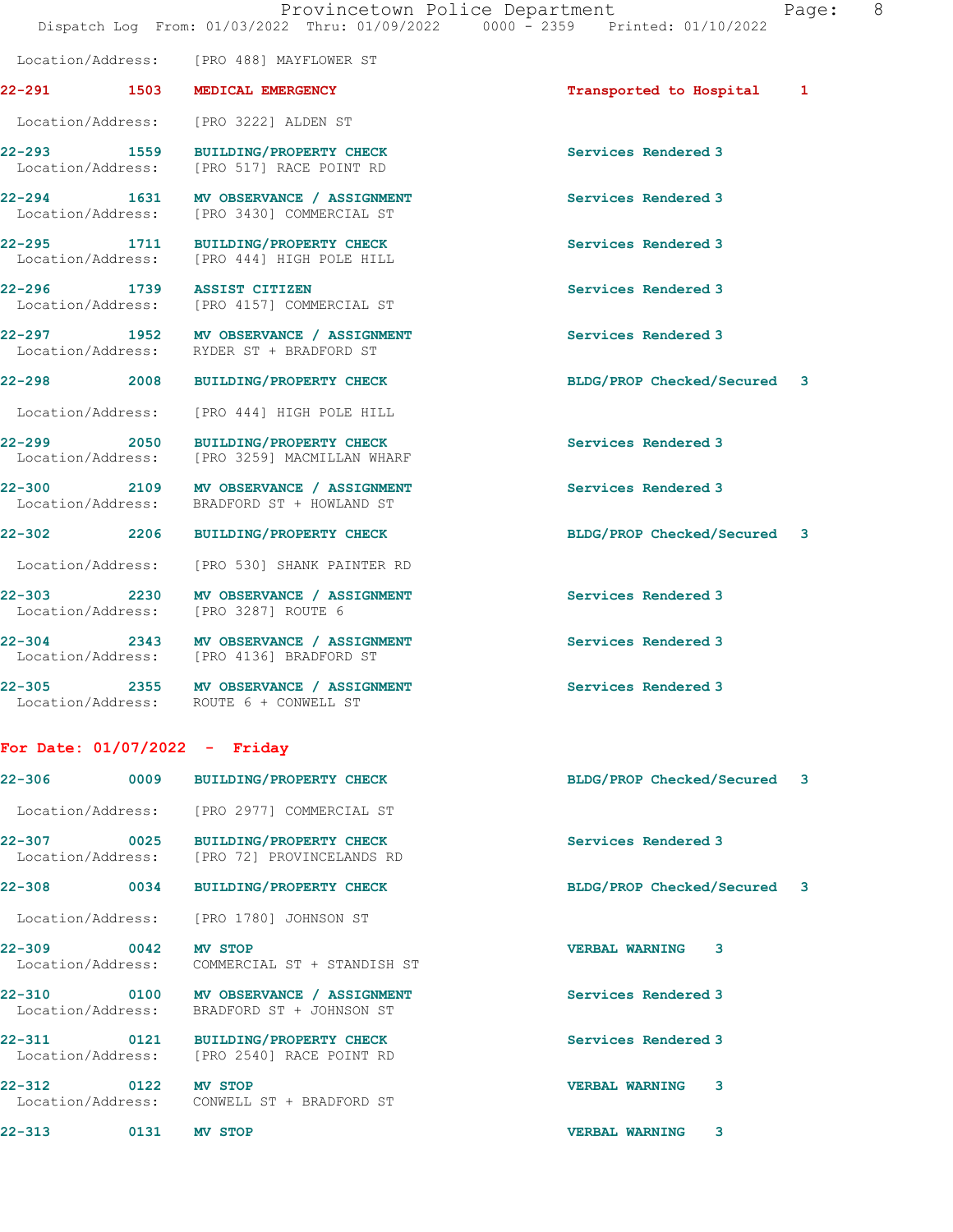22-291 1503 MEDICAL EMERGENCY 1888 120 Transported to Hospital 1

 Location/Address: [PRO 3222] ALDEN ST 22-293 1559 BUILDING/PROPERTY CHECK Services Rendered 3 Location/Address: [PRO 517] RACE POINT RD 22-294 1631 MV OBSERVANCE / ASSIGNMENT Services Rendered 3 Location/Address: [PRO 3430] COMMERCIAL ST 22-295 1711 BUILDING/PROPERTY CHECK Services Rendered 3 Location/Address: [PRO 444] HIGH POLE HILL 22-296 1739 ASSIST CITIZEN Services Rendered 3 Location/Address: [PRO 4157] COMMERCIAL ST 22-297 1952 MV OBSERVANCE / ASSIGNMENT Services Rendered 3<br>
Location/Address: RYDER ST + BRADFORD ST Location/Address: RYDER ST + BRADFORD ST 22-298 2008 BUILDING/PROPERTY CHECK BLDG/PROP Checked/Secured 3 Location/Address: [PRO 444] HIGH POLE HILL 22-299 2050 BUILDING/PROPERTY CHECK Services Rendered 3<br>
Location/Address: [PRO 3259] MACMILLAN WHARF [PRO 3259] MACMILLAN WHARF 22-300 2109 MV OBSERVANCE / ASSIGNMENT Services Rendered 3 Location/Address: BRADFORD ST + HOWLAND ST

22-302 2206 BUILDING/PROPERTY CHECK BLDG/PROP Checked/Secured 3 Location/Address: [PRO 530] SHANK PAINTER RD

22-303 2230 MV OBSERVANCE / ASSIGNMENT Services Rendered 3 Location/Address: [PRO 3287] ROUTE 6

22-304 2343 MV OBSERVANCE / ASSIGNMENT Services Rendered 3<br>
Location/Address: [PRO 4136] BRADFORD ST [PRO 4136] BRADFORD ST

22-305 2355 MV OBSERVANCE / ASSIGNMENT Services Rendered 3 Location/Address: ROUTE 6 + CONWELL ST

Location/Address: [PRO 488] MAYFLOWER ST

## For Date: 01/07/2022 - Friday

| $22 - 306$                       |      | 0009 BUILDING/PROPERTY CHECK                                                       | BLDG/PROP Checked/Secured 3 |  |
|----------------------------------|------|------------------------------------------------------------------------------------|-----------------------------|--|
|                                  |      | Location/Address: [PRO 2977] COMMERCIAL ST                                         |                             |  |
|                                  |      | 22-307 0025 BUILDING/PROPERTY CHECK<br>Location/Address: [PRO 72] PROVINCELANDS RD | Services Rendered 3         |  |
| 22-308                           | 0034 | <b>BUILDING/PROPERTY CHECK</b>                                                     | BLDG/PROP Checked/Secured 3 |  |
| Location/Address:                |      | [PRO 1780] JOHNSON ST                                                              |                             |  |
| 22–309 0042                      |      | <b>MV STOP</b><br>Location/Address: COMMERCIAL ST + STANDISH ST                    | 3<br><b>VERBAL WARNING</b>  |  |
| Location/Address:                |      | 22-310 0100 MV OBSERVANCE / ASSIGNMENT<br>BRADFORD ST + JOHNSON ST                 | Services Rendered 3         |  |
| 22-311 0121<br>Location/Address: |      | <b>BUILDING/PROPERTY CHECK</b><br>[PRO 2540] RACE POINT RD                         | Services Rendered 3         |  |
| 22-312 0122                      |      | <b>MV STOP</b><br>Location/Address: CONWELL ST + BRADFORD ST                       | 3<br><b>VERBAL WARNING</b>  |  |
| $22 - 313$                       | 0131 | <b>MV STOP</b>                                                                     | 3<br><b>VERBAL WARNING</b>  |  |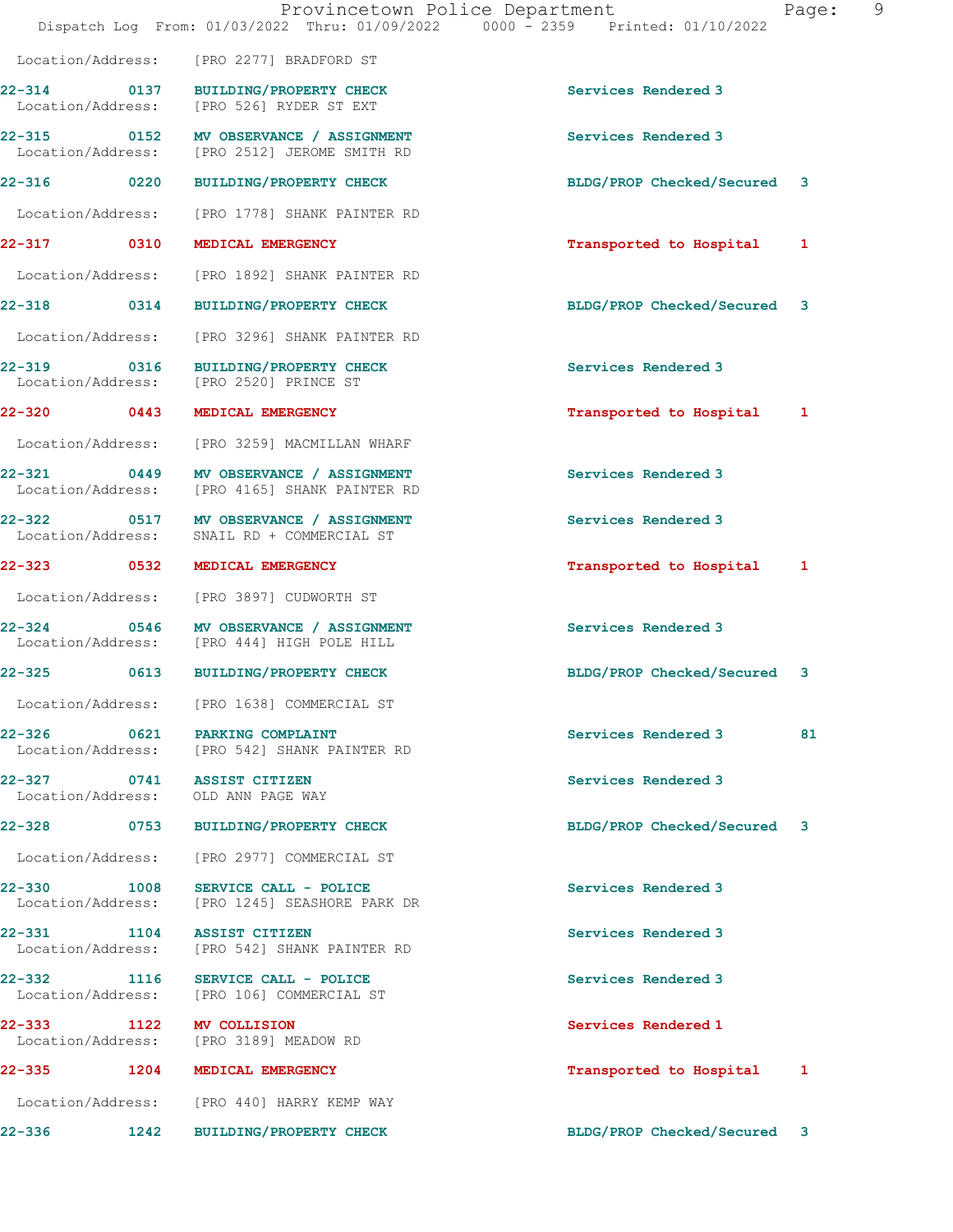|                             |      | Provincetown Police Department<br>Dispatch Log From: 01/03/2022 Thru: 01/09/2022 0000 - 2359 Printed: 01/10/2022 |                             | 9<br>Page: |
|-----------------------------|------|------------------------------------------------------------------------------------------------------------------|-----------------------------|------------|
|                             |      | Location/Address: [PRO 2277] BRADFORD ST                                                                         |                             |            |
| Location/Address:           |      | 22-314 0137 BUILDING/PROPERTY CHECK<br>[PRO 526] RYDER ST EXT                                                    | Services Rendered 3         |            |
|                             |      | 22-315 0152 MV OBSERVANCE / ASSIGNMENT<br>Location/Address: [PRO 2512] JEROME SMITH RD                           | Services Rendered 3         |            |
| 22-316 0220                 |      | BUILDING/PROPERTY CHECK                                                                                          | BLDG/PROP Checked/Secured 3 |            |
| Location/Address:           |      | [PRO 1778] SHANK PAINTER RD                                                                                      |                             |            |
| 22-317 0310                 |      | MEDICAL EMERGENCY                                                                                                | Transported to Hospital     | 1          |
| Location/Address:           |      | [PRO 1892] SHANK PAINTER RD                                                                                      |                             |            |
| 22-318 0314                 |      | <b>BUILDING/PROPERTY CHECK</b>                                                                                   | BLDG/PROP Checked/Secured 3 |            |
| Location/Address:           |      | [PRO 3296] SHANK PAINTER RD                                                                                      |                             |            |
|                             |      | 22-319 0316 BUILDING/PROPERTY CHECK<br>Location/Address: [PRO 2520] PRINCE ST                                    | Services Rendered 3         |            |
| 22-320 0443                 |      | MEDICAL EMERGENCY                                                                                                | Transported to Hospital     | 1          |
| Location/Address:           |      | [PRO 3259] MACMILLAN WHARF                                                                                       |                             |            |
| 22-321<br>Location/Address: | 0449 | MV OBSERVANCE / ASSIGNMENT<br>[PRO 4165] SHANK PAINTER RD                                                        | Services Rendered 3         |            |
| Location/Address:           |      | 22-322 0517 MV OBSERVANCE / ASSIGNMENT<br>SNAIL RD + COMMERCIAL ST                                               | Services Rendered 3         |            |
| 22-323 0532                 |      | MEDICAL EMERGENCY                                                                                                | Transported to Hospital 1   |            |
| Location/Address:           |      | [PRO 3897] CUDWORTH ST                                                                                           |                             |            |
| 22-324<br>Location/Address: |      | 0546 MV OBSERVANCE / ASSIGNMENT<br>[PRO 444] HIGH POLE HILL                                                      | Services Rendered 3         |            |
| 22-325                      |      | 0613 BUILDING/PROPERTY CHECK                                                                                     | BLDG/PROP Checked/Secured 3 |            |
|                             |      | Location/Address: [PRO 1638] COMMERCIAL ST                                                                       |                             |            |
|                             |      | 22-326 0621 PARKING COMPLAINT<br>Location/Address: [PRO 542] SHANK PAINTER RD                                    | Services Rendered 3         | 81         |
|                             |      | 22-327 0741 ASSIST CITIZEN<br>Location/Address: OLD ANN PAGE WAY                                                 | Services Rendered 3         |            |
|                             |      | 22-328 0753 BUILDING/PROPERTY CHECK                                                                              | BLDG/PROP Checked/Secured 3 |            |
| Location/Address:           |      | [PRO 2977] COMMERCIAL ST                                                                                         |                             |            |
| Location/Address:           |      | 22-330 1008 SERVICE CALL - POLICE<br>[PRO 1245] SEASHORE PARK DR                                                 | Services Rendered 3         |            |
| 22-331                      | 1104 | <b>ASSIST CITIZEN</b><br>Location/Address: [PRO 542] SHANK PAINTER RD                                            | Services Rendered 3         |            |
|                             |      | 22-332 1116 SERVICE CALL - POLICE<br>Location/Address: [PRO 106] COMMERCIAL ST                                   | Services Rendered 3         |            |
| 22-333                      |      | 1122 MV COLLISION<br>Location/Address: [PRO 3189] MEADOW RD                                                      | Services Rendered 1         |            |
| 22-335                      |      | 1204 MEDICAL EMERGENCY                                                                                           | Transported to Hospital     | 1          |
|                             |      | Location/Address: [PRO 440] HARRY KEMP WAY                                                                       |                             |            |
| 22-336                      | 1242 | BUILDING/PROPERTY CHECK                                                                                          | BLDG/PROP Checked/Secured 3 |            |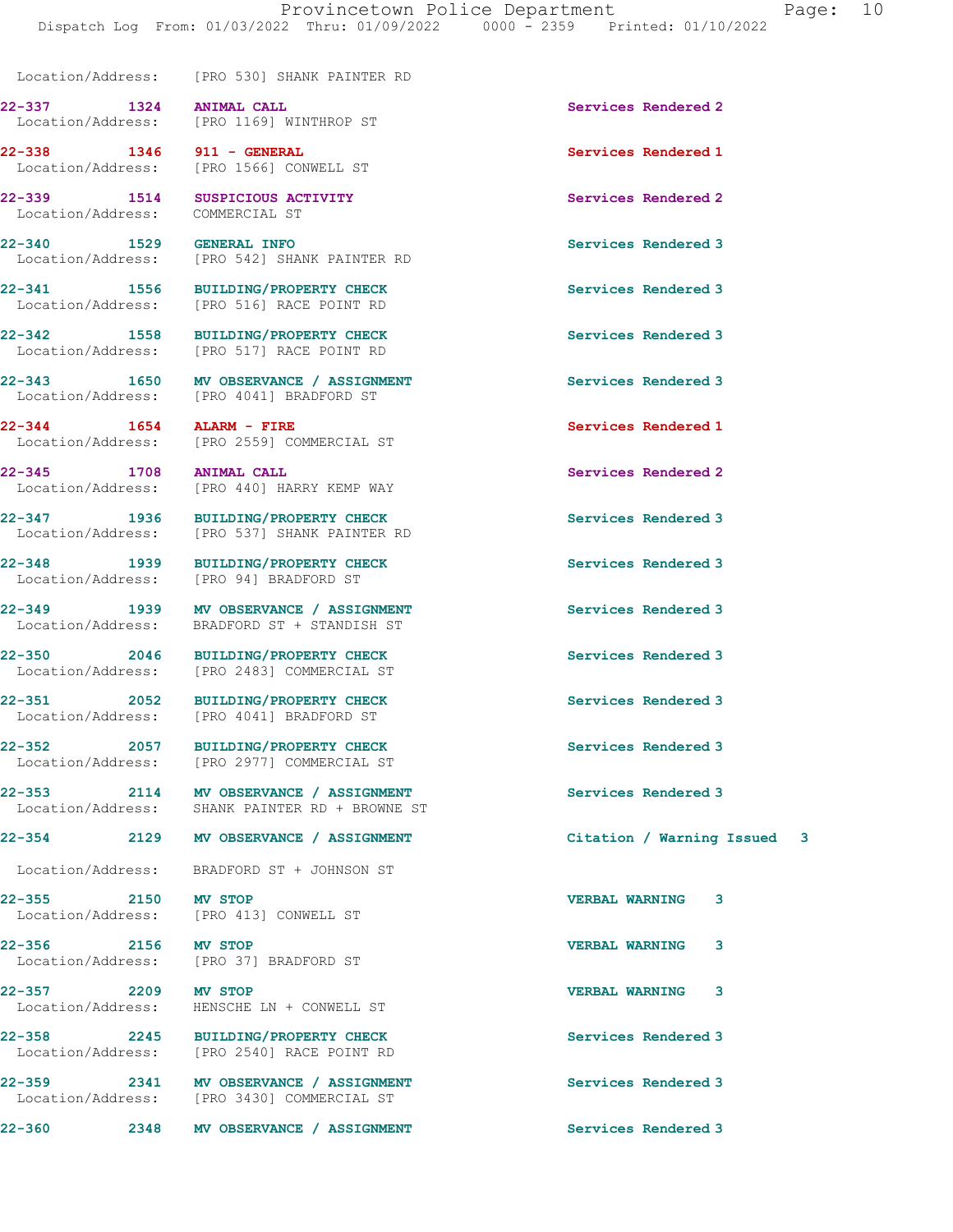Location/Address: [PRO 530] SHANK PAINTER RD

22-337 1324 ANIMAL CALL Services Rendered 2

22-339 1514 SUSPICIOUS ACTIVITY Services Rendered 2 Location/Address: COMMERCIAL ST

Location/Address: [PRO 516] RACE POINT RD

Location/Address: [PRO 4041] BRADFORD ST

22-357 2209 MV STOP VERBAL WARNING 3

 Location/Address: [PRO 1169] WINTHROP ST 22-338 1346 911 - GENERAL Services Rendered 1 Location/Address: [PRO 1566] CONWELL ST

22-340 1529 GENERAL INFO Services Rendered 3 Location/Address: [PRO 542] SHANK PAINTER RD

22-341 1556 BUILDING/PROPERTY CHECK Services Rendered 3

22-342 1558 BUILDING/PROPERTY CHECK Services Rendered 3<br>
Location/Address: [PRO 517] RACE POINT RD [PRO 517] RACE POINT RD

22-343 1650 MV OBSERVANCE / ASSIGNMENT Services Rendered 3 Location/Address: [PRO 4041] BRADFORD ST

22-344 1654 ALARM - FIRE Services Rendered 1 Location/Address: [PRO 2559] COMMERCIAL ST

22-345 1708 ANIMAL CALL Services Rendered 2 Location/Address: [PRO 440] HARRY KEMP WAY

22-347 1936 BUILDING/PROPERTY CHECK Services Rendered 3 Location/Address: [PRO 537] SHANK PAINTER RD

22-348 1939 BUILDING/PROPERTY CHECK Services Rendered 3<br>
Location/Address: [PRO 94] BRADFORD ST [PRO 94] BRADFORD ST

22-349 1939 MV OBSERVANCE / ASSIGNMENT Services Rendered 3 Location/Address: BRADFORD ST + STANDISH ST

22-350 2046 BUILDING/PROPERTY CHECK Services Rendered 3 Location/Address: [PRO 2483] COMMERCIAL ST

22-351 2052 BUILDING/PROPERTY CHECK Services Rendered 3

22-352 2057 BUILDING/PROPERTY CHECK Services Rendered 3 Location/Address: [PRO 2977] COMMERCIAL ST

22-353 2114 MV OBSERVANCE / ASSIGNMENT Services Rendered 3 Location/Address: SHANK PAINTER RD + BROWNE ST

Location/Address: BRADFORD ST + JOHNSON ST

22-355 2150 MV STOP VERBAL WARNING 3 [PRO 413] CONWELL ST

22-356 2156 MV STOP VERBAL WARNING 3 Location/Address: [PRO 37] BRADFORD ST

Location/Address: HENSCHE LN + CONWELL ST

22-358 2245 BUILDING/PROPERTY CHECK Services Rendered 3 Location/Address: [PRO 2540] RACE POINT RD

22-359 2341 MV OBSERVANCE / ASSIGNMENT Services Rendered 3<br>
Location/Address: [PRO 3430] COMMERCIAL ST [PRO 3430] COMMERCIAL ST

22-360 2348 MV OBSERVANCE / ASSIGNMENT Services Rendered 3

22-354 2129 MV OBSERVANCE / ASSIGNMENT Citation / Warning Issued 3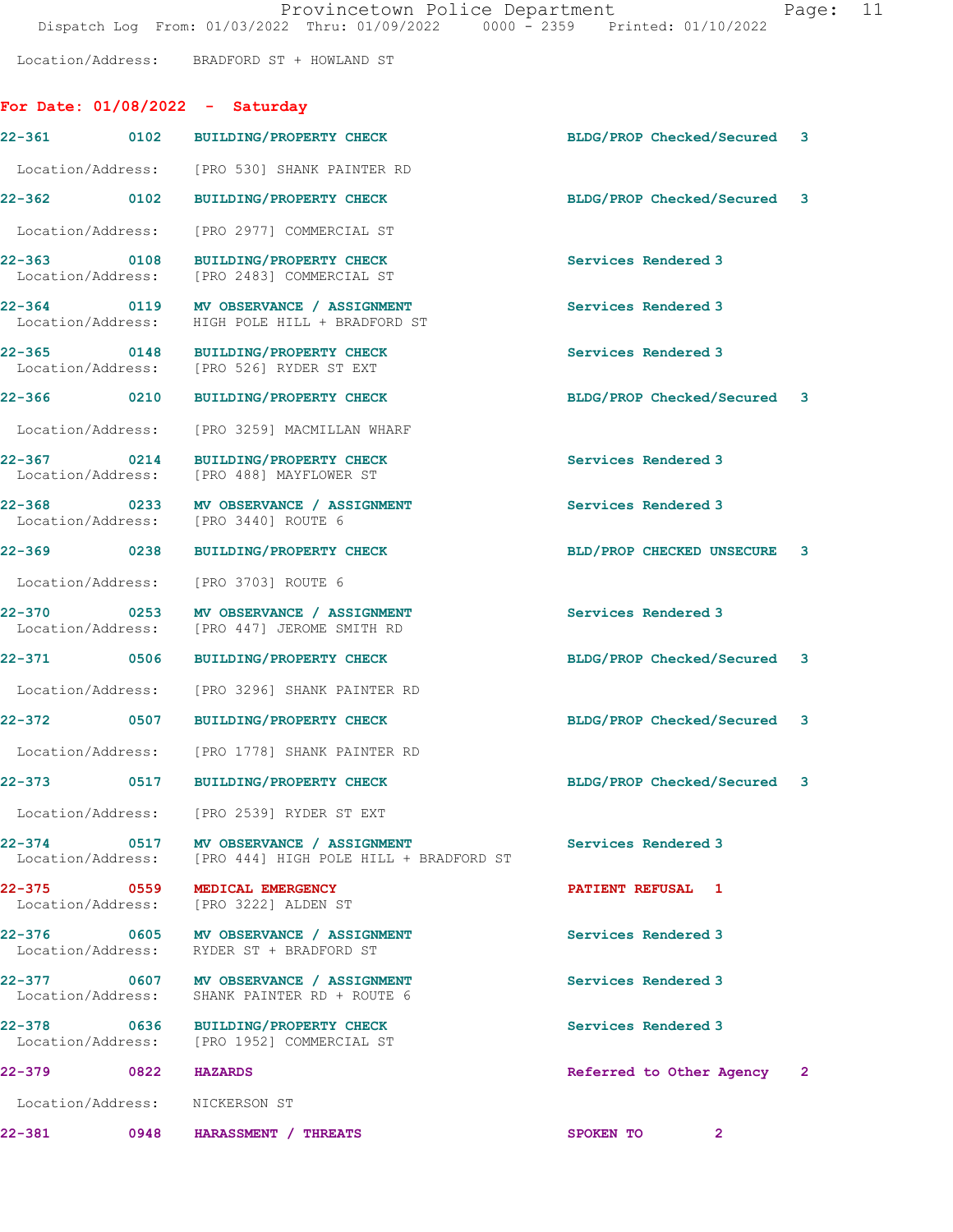For Date: 01/08/2022 - Saturday

Location/Address: BRADFORD ST + HOWLAND ST

|                                  |      | 22-361 0102 BUILDING/PROPERTY CHECK                                                                | BLDG/PROP Checked/Secured 3 |  |
|----------------------------------|------|----------------------------------------------------------------------------------------------------|-----------------------------|--|
| Location/Address:                |      | [PRO 530] SHANK PAINTER RD                                                                         |                             |  |
| 22-362 0102                      |      | <b>BUILDING/PROPERTY CHECK</b>                                                                     | BLDG/PROP Checked/Secured 3 |  |
| Location/Address:                |      | [PRO 2977] COMMERCIAL ST                                                                           |                             |  |
| 22-363 0108<br>Location/Address: |      | BUILDING/PROPERTY CHECK<br>[PRO 2483] COMMERCIAL ST                                                | Services Rendered 3         |  |
|                                  |      | 22-364 0119 MV OBSERVANCE / ASSIGNMENT<br>Location/Address: HIGH POLE HILL + BRADFORD ST           | Services Rendered 3         |  |
| 22-365 0148<br>Location/Address: |      | <b>BUILDING/PROPERTY CHECK</b><br>[PRO 526] RYDER ST EXT                                           | Services Rendered 3         |  |
| 22-366 0210                      |      | BUILDING/PROPERTY CHECK                                                                            | BLDG/PROP Checked/Secured 3 |  |
| Location/Address:                |      | [PRO 3259] MACMILLAN WHARF                                                                         |                             |  |
| 22-367 0214<br>Location/Address: |      | <b>BUILDING/PROPERTY CHECK</b><br>[PRO 488] MAYFLOWER ST                                           | Services Rendered 3         |  |
|                                  |      | 22-368 0233 MV OBSERVANCE / ASSIGNMENT<br>Location/Address: [PRO 3440] ROUTE 6                     | Services Rendered 3         |  |
| 22-369 0238                      |      | BUILDING/PROPERTY CHECK                                                                            | BLD/PROP CHECKED UNSECURE 3 |  |
| Location/Address:                |      | [PRO 3703] ROUTE 6                                                                                 |                             |  |
| 22-370<br>Location/Address:      | 0253 | MV OBSERVANCE / ASSIGNMENT<br>[PRO 447] JEROME SMITH RD                                            | Services Rendered 3         |  |
| 22-371 0506                      |      | BUILDING/PROPERTY CHECK                                                                            | BLDG/PROP Checked/Secured 3 |  |
|                                  |      | Location/Address: [PRO 3296] SHANK PAINTER RD                                                      |                             |  |
| 22-372 0507                      |      | <b>BUILDING/PROPERTY CHECK</b>                                                                     | BLDG/PROP Checked/Secured 3 |  |
|                                  |      | Location/Address: [PRO 1778] SHANK PAINTER RD                                                      |                             |  |
|                                  |      | 22-373 0517 BUILDING/PROPERTY CHECK                                                                | BLDG/PROP Checked/Secured 3 |  |
|                                  |      | Location/Address: [PRO 2539] RYDER ST EXT                                                          |                             |  |
|                                  |      | 22-374 0517 MV OBSERVANCE / ASSIGNMENT<br>Location/Address: [PRO 444] HIGH POLE HILL + BRADFORD ST | Services Rendered 3         |  |
|                                  |      | 22-375 0559 MEDICAL EMERGENCY<br>Location/Address: [PRO 3222] ALDEN ST                             | PATIENT REFUSAL 1           |  |
|                                  |      | 22-376 0605 MV OBSERVANCE / ASSIGNMENT<br>Location/Address: RYDER ST + BRADFORD ST                 | Services Rendered 3         |  |
|                                  |      | 22-377 0607 MV OBSERVANCE / ASSIGNMENT<br>Location/Address: SHANK PAINTER RD + ROUTE 6             | Services Rendered 3         |  |
|                                  |      | 22-378 0636 BUILDING/PROPERTY CHECK<br>Location/Address: [PRO 1952] COMMERCIAL ST                  | Services Rendered 3         |  |
| 22-379                           |      | 0822 HAZARDS                                                                                       | Referred to Other Agency 2  |  |
|                                  |      | Location/Address: NICKERSON ST                                                                     |                             |  |
| 22-381                           | 0948 | HARASSMENT / THREATS                                                                               | SPOKEN TO<br>$\overline{2}$ |  |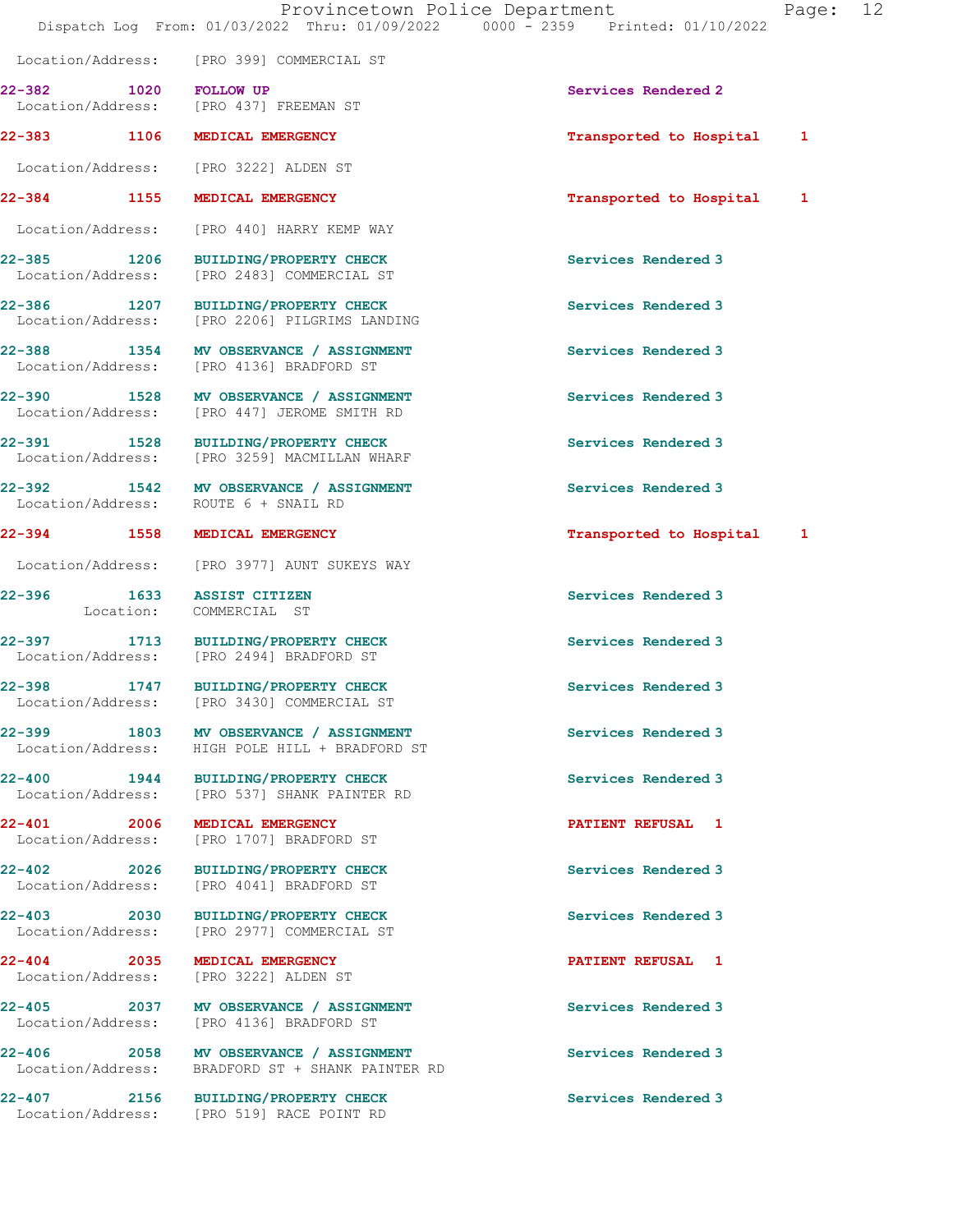22-382 1020 FOLLOW UP Services Rendered 2

Location/Address: [PRO 399] COMMERCIAL ST

Location/Address: [PRO 437] FREEMAN ST

22-383 1106 MEDICAL EMERGENCY 1 22-383 Transported to Hospital 1 Location/Address: [PRO 3222] ALDEN ST 22-384 1155 MEDICAL EMERGENCY 1 22-384 Transported to Hospital 1 Location/Address: [PRO 440] HARRY KEMP WAY 22-385 1206 BUILDING/PROPERTY CHECK Services Rendered 3 Location/Address: [PRO 2483] COMMERCIAL ST 22-386 1207 BUILDING/PROPERTY CHECK Services Rendered 3 Location/Address: [PRO 2206] PILGRIMS LANDING 22-388 1354 MV OBSERVANCE / ASSIGNMENT Services Rendered 3 Location/Address: [PRO 4136] BRADFORD ST 22-390 1528 MV OBSERVANCE / ASSIGNMENT Services Rendered 3 Location/Address: [PRO 447] JEROME SMITH RD 22-391 1528 BUILDING/PROPERTY CHECK Services Rendered 3<br>
Location/Address: [PRO 3259] MACMILLAN WHARF [PRO 3259] MACMILLAN WHARF 22-392 1542 MV OBSERVANCE / ASSIGNMENT Services Rendered 3 Location/Address: ROUTE 6 + SNAIL RD 22-394 1558 MEDICAL EMERGENCY 1988 120 Transported to Hospital Location/Address: [PRO 3977] AUNT SUKEYS WAY 22-396 1633 ASSIST CITIZEN Services Rendered 3 Location: COMMERCIAL ST 22-397 1713 BUILDING/PROPERTY CHECK Services Rendered 3 Location/Address: [PRO 2494] BRADFORD ST 22-398 1747 BUILDING/PROPERTY CHECK Services Rendered 3 Location/Address: [PRO 3430] COMMERCIAL ST 22-399 1803 MV OBSERVANCE / ASSIGNMENT Services Rendered 3 Location/Address: HIGH POLE HILL + BRADFORD ST 22-400 1944 BUILDING/PROPERTY CHECK Services Rendered 3<br>
Location/Address: [PRO 537] SHANK PAINTER RD [PRO 537] SHANK PAINTER RD 22-401 2006 MEDICAL EMERGENCY PATIENT REFUSAL 1 Location/Address: [PRO 1707] BRADFORD ST 22-402 2026 BUILDING/PROPERTY CHECK Services Rendered 3 Location/Address: [PRO 4041] BRADFORD ST 22-403 2030 BUILDING/PROPERTY CHECK Services Rendered 3 Location/Address: [PRO 2977] COMMERCIAL ST 22-404 2035 MEDICAL EMERGENCY **PATIENT REFUSAL** 1 Location/Address: [PRO 3222] ALDEN ST 22-405 2037 MV OBSERVANCE / ASSIGNMENT Services Rendered 3 Location/Address: [PRO 4136] BRADFORD ST 22-406 2058 MV OBSERVANCE / ASSIGNMENT Services Rendered 3 Location/Address: BRADFORD ST + SHANK PAINTER RD 22-407 2156 BUILDING/PROPERTY CHECK Services Rendered 3 Location/Address: [PRO 519] RACE POINT RD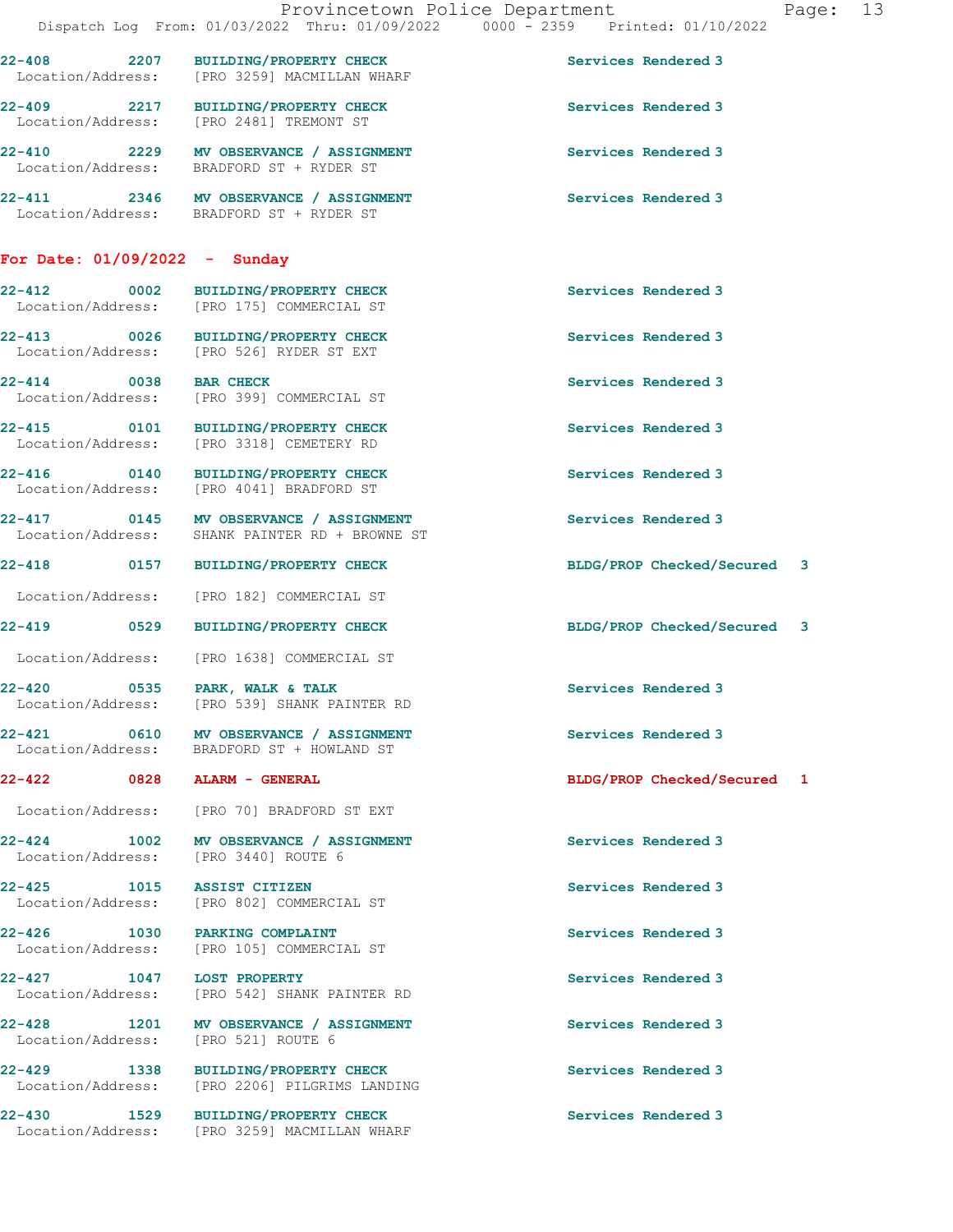|                                 | Provincetown Police Department<br>Dispatch Log From: 01/03/2022 Thru: 01/09/2022 0000 - 2359 Printed: 01/10/2022 |                             | Page: 13 |  |
|---------------------------------|------------------------------------------------------------------------------------------------------------------|-----------------------------|----------|--|
|                                 | 22-408 2207 BUILDING/PROPERTY CHECK<br>Location/Address: [PRO 3259] MACMILLAN WHARF                              | Services Rendered 3         |          |  |
|                                 | 22-409 2217 BUILDING/PROPERTY CHECK<br>Location/Address: [PRO 2481] TREMONT ST                                   | Services Rendered 3         |          |  |
|                                 | 22-410 2229 MV OBSERVANCE / ASSIGNMENT<br>Location/Address: BRADFORD ST + RYDER ST                               | Services Rendered 3         |          |  |
|                                 | 22-411 2346 MV OBSERVANCE / ASSIGNMENT<br>Location/Address: BRADFORD ST + RYDER ST                               | Services Rendered 3         |          |  |
| For Date: $01/09/2022 -$ Sunday |                                                                                                                  |                             |          |  |
|                                 | 22-412 0002 BUILDING/PROPERTY CHECK<br>Location/Address: [PRO 175] COMMERCIAL ST                                 | Services Rendered 3         |          |  |
|                                 | 22-413 0026 BUILDING/PROPERTY CHECK<br>Location/Address: [PRO 526] RYDER ST EXT                                  | Services Rendered 3         |          |  |
| 22-414 0038 BAR CHECK           | Location/Address: [PRO 399] COMMERCIAL ST                                                                        | Services Rendered 3         |          |  |
|                                 | 22-415 0101 BUILDING/PROPERTY CHECK<br>Location/Address: [PRO 3318] CEMETERY RD                                  | Services Rendered 3         |          |  |
|                                 | 22-416 0140 BUILDING/PROPERTY CHECK<br>Location/Address: [PRO 4041] BRADFORD ST                                  | Services Rendered 3         |          |  |
|                                 | 22-417 0145 MV OBSERVANCE / ASSIGNMENT<br>Location/Address: SHANK PAINTER RD + BROWNE ST                         | Services Rendered 3         |          |  |
|                                 | 22-418 0157 BUILDING/PROPERTY CHECK                                                                              | BLDG/PROP Checked/Secured 3 |          |  |
|                                 | Location/Address: [PRO 182] COMMERCIAL ST                                                                        |                             |          |  |
|                                 | 22-419 0529 BUILDING/PROPERTY CHECK                                                                              | BLDG/PROP Checked/Secured 3 |          |  |
|                                 | Location/Address: [PRO 1638] COMMERCIAL ST                                                                       |                             |          |  |
| 22-420                          | 0535 PARK, WALK & TALK<br>Location/Address: [PRO 539] SHANK PAINTER RD                                           | Services Rendered 3         |          |  |
|                                 | 22-421 0610 MV OBSERVANCE / ASSIGNMENT<br>Location/Address: BRADFORD ST + HOWLAND ST                             | Services Rendered 3         |          |  |
|                                 | 22-422 0828 ALARM - GENERAL                                                                                      | BLDG/PROP Checked/Secured 1 |          |  |
|                                 | Location/Address: [PRO 70] BRADFORD ST EXT                                                                       |                             |          |  |
| $22 - 424$ 1002                 | MV OBSERVANCE / ASSIGNMENT<br>Location/Address: [PRO 3440] ROUTE 6                                               | Services Rendered 3         |          |  |
| Location/Address:               | 22-425 1015 ASSIST CITIZEN<br>[PRO 802] COMMERCIAL ST                                                            | Services Rendered 3         |          |  |
| $22 - 426$                      | 1030 PARKING COMPLAINT<br>Location/Address: [PRO 105] COMMERCIAL ST                                              | Services Rendered 3         |          |  |
| 22-427 1047 LOST PROPERTY       | Location/Address: [PRO 542] SHANK PAINTER RD                                                                     | Services Rendered 3         |          |  |
| $22 - 428$                      | 1201 MV OBSERVANCE / ASSIGNMENT<br>Location/Address: [PRO 521] ROUTE 6                                           | Services Rendered 3         |          |  |
|                                 | 22-429 1338 BUILDING/PROPERTY CHECK<br>Location/Address: [PRO 2206] PILGRIMS LANDING                             | Services Rendered 3         |          |  |
| $22 - 430$                      | 1529 BUILDING/PROPERTY CHECK<br>Location/Address: [PRO 3259] MACMILLAN WHARF                                     | Services Rendered 3         |          |  |